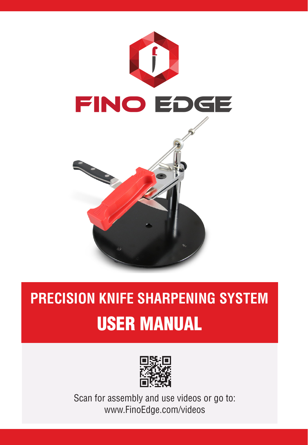

## **PRECISION KNIFE SHARPENING SYSTEM** USER MANUAL



Scan for assembly and use videos or go to: www.FinoEdge.com/videos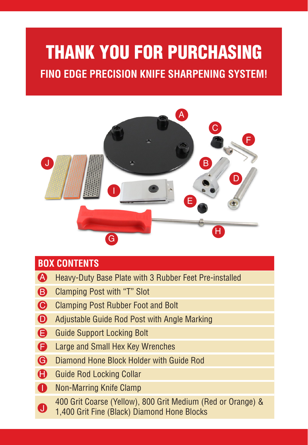# THANK YOU FOR PURCHASING

**FINO EDGE PRECISION KNIFE SHARPENING SYSTEM!**



#### **BOX CONTENTS**

- Heavy-Duty Base Plate with 3 Rubber Feet Pre-installed A
- Clamping Post with "T" Slot  $\mathbf{B}$
- **C** Clamping Post Rubber Foot and Bolt
- Adjustable Guide Rod Post with Angle Marking  $\Omega$
- **B** Guide Support Locking Bolt
- Large and Small Hex Key Wrenches  $\blacksquare$
- Diamond Hone Block Holder with Guide Rod  $\bullet$
- **Guide Rod Locking Collar**
- **D** Non-Marring Knife Clamp
	- 400 Grit Coarse (Yellow), 800 Grit Medium (Red or Orange) &
- 1,400 Grit Fine (Black) Diamond Hone Blocks J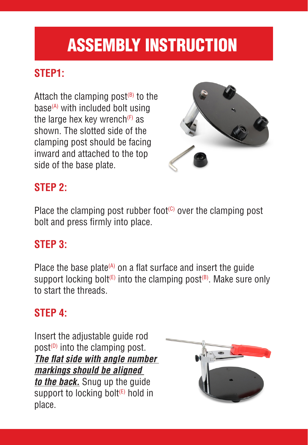## ASSEMBLY INSTRUCTION

### **STEP1:**

Attach the clamping post $(18)$  to the base $(A)$  with included bolt using the large hex key wrench $(F)$  as shown. The slotted side of the clamping post should be facing inward and attached to the top side of the base plate.



#### **STEP 2:**

Place the clamping post rubber foot $\mathfrak{c}$  over the clamping post bolt and press firmly into place.

#### **STEP 3:**

Place the base plate $(A)$  on a flat surface and insert the guide support locking bolt<sup>(E)</sup> into the clamping post<sup>(B)</sup>. Make sure only to start the threads.

#### **STEP 4:**

Insert the adjustable guide rod  $post^{(D)}$  into the clamping post. *The flat side with angle number markings should be aligned to the back.* Snug up the guide support to locking bolt<sup>(E)</sup> hold in place.

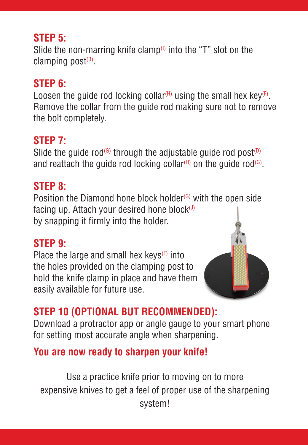#### **STEP 5:**

Slide the non-marring knife clamp<sup> $(1)$ </sup> into the "T" slot on the clamping post $(B)$ .

#### **STEP 6:**

Loosen the quide rod locking collar<sup>(H)</sup> using the small hex key<sup>(F)</sup>. Remove the collar from the guide rod making sure not to remove the bolt completely.

#### **STEP 7:**

Slide the quide rod<sup>(G)</sup> through the adjustable quide rod post<sup>(D)</sup> and reattach the guide rod locking collar<sup>(H)</sup> on the guide rod<sup>(G)</sup>.

#### **STEP 8:**

Position the Diamond hone block holder $(G)$  with the open side facing up. Attach your desired hone block $($ J $)$ by snapping it firmly into the holder.

#### **STEP 9:**

Place the large and small hex keys $(F)$  into the holes provided on the clamping post to hold the knife clamp in place and have them easily available for future use.



## **STEP 10 (OPTIONAL BUT RECOMMENDED):**

Download a protractor app or angle gauge to your smart phone for setting most accurate angle when sharpening.

### **You are now ready to sharpen your knife!**

Use a practice knife prior to moving on to more expensive knives to get a feel of proper use of the sharpening system!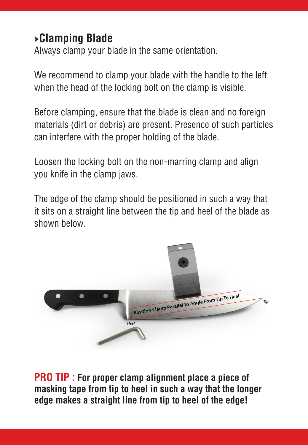### *մ***Clamping Blade**

Always clamp your blade in the same orientation.

We recommend to clamp your blade with the handle to the left when the head of the locking bolt on the clamp is visible.

Before clamping, ensure that the blade is clean and no foreign materials (dirt or debris) are present. Presence of such particles can interfere with the proper holding of the blade.

Loosen the locking bolt on the non-marring clamp and align you knife in the clamp jaws.

The edge of the clamp should be positioned in such a way that it sits on a straight line between the tip and heel of the blade as shown below.



**PRO TIP : For proper clamp alignment place a piece of masking tape from tip to heel in such a way that the longer edge makes a straight line from tip to heel of the edge!**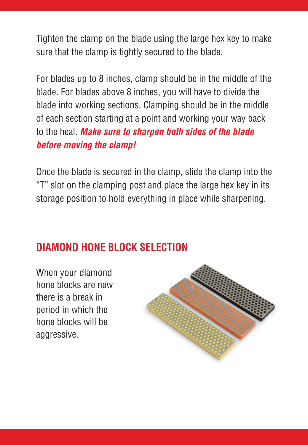Tighten the clamp on the blade using the large hex key to make sure that the clamp is tightly secured to the blade.

For blades up to 8 inches, clamp should be in the middle of the blade. For blades above 8 inches, you will have to divide the blade into working sections. Clamping should be in the middle of each section starting at a point and working your way back to the heal. *Make sure to sharpen both sides of the blade before moving the clamp!*

Once the blade is secured in the clamp, slide the clamp into the "T" slot on the clamping post and place the large hex key in its storage position to hold everything in place while sharpening.

#### **DIAMOND HONE BLOCK SELECTION**

When your diamond hone blocks are new there is a break in period in which the hone blocks will be aggressive.

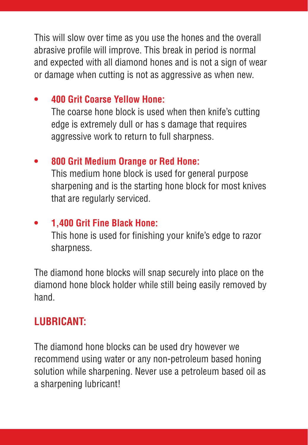This will slow over time as you use the hones and the overall abrasive profile will improve. This break in period is normal and expected with all diamond hones and is not a sign of wear or damage when cutting is not as aggressive as when new.

#### **• 400 Grit Coarse Yellow Hone:**

The coarse hone block is used when then knife's cutting edge is extremely dull or has s damage that requires aggressive work to return to full sharpness.

#### **• 800 Grit Medium Orange or Red Hone:**

This medium hone block is used for general purpose sharpening and is the starting hone block for most knives that are regularly serviced.

#### **• 1,400 Grit Fine Black Hone:**

This hone is used for finishing your knife's edge to razor sharpness.

The diamond hone blocks will snap securely into place on the diamond hone block holder while still being easily removed by hand.

#### **LUBRICANT:**

The diamond hone blocks can be used dry however we recommend using water or any non-petroleum based honing solution while sharpening. Never use a petroleum based oil as a sharpening lubricant!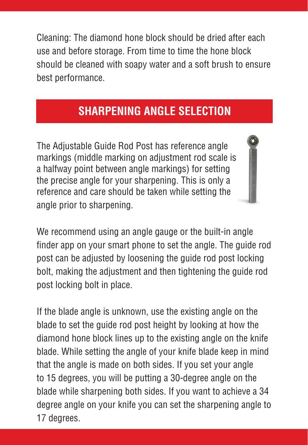Cleaning: The diamond hone block should be dried after each use and before storage. From time to time the hone block should be cleaned with soapy water and a soft brush to ensure best performance.

### **SHARPENING ANGLE SELECTION**

The Adjustable Guide Rod Post has reference angle markings (middle marking on adjustment rod scale is a halfway point between angle markings) for setting the precise angle for your sharpening. This is only a reference and care should be taken while setting the angle prior to sharpening.

We recommend using an angle gauge or the built-in angle finder app on your smart phone to set the angle. The guide rod post can be adjusted by loosening the guide rod post locking bolt, making the adjustment and then tightening the guide rod post locking bolt in place.

If the blade angle is unknown, use the existing angle on the blade to set the guide rod post height by looking at how the diamond hone block lines up to the existing angle on the knife blade. While setting the angle of your knife blade keep in mind that the angle is made on both sides. If you set your angle to 15 degrees, you will be putting a 30-degree angle on the blade while sharpening both sides. If you want to achieve a 34 degree angle on your knife you can set the sharpening angle to 17 degrees.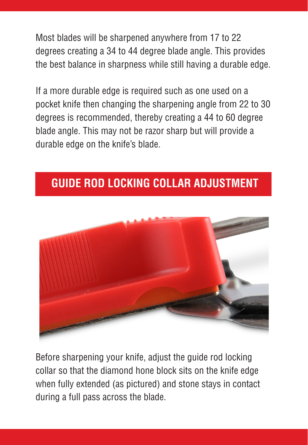Most blades will be sharpened anywhere from 17 to 22 degrees creating a 34 to 44 degree blade angle. This provides the best balance in sharpness while still having a durable edge.

If a more durable edge is required such as one used on a pocket knife then changing the sharpening angle from 22 to 30 degrees is recommended, thereby creating a 44 to 60 degree blade angle. This may not be razor sharp but will provide a durable edge on the knife's blade.

## **GUIDE ROD LOCKING COLLAR ADJUSTMENT**



Before sharpening your knife, adjust the guide rod locking collar so that the diamond hone block sits on the knife edge when fully extended (as pictured) and stone stays in contact during a full pass across the blade.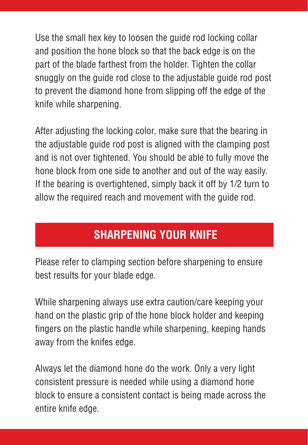Use the small hex key to loosen the guide rod locking collar and position the hone block so that the back edge is on the part of the blade farthest from the holder. Tighten the collar snuggly on the guide rod close to the adjustable guide rod post to prevent the diamond hone from slipping off the edge of the knife while sharpening.

After adjusting the locking color, make sure that the bearing in the adjustable quide rod post is aligned with the clamping post and is not over tightened. You should be able to fully move the hone block from one side to another and out of the way easily. If the bearing is overtightened, simply back it off by 1/2 turn to allow the required reach and movement with the guide rod.

## **SHARPENING YOUR KNIFE**

Please refer to clamping section before sharpening to ensure best results for your blade edge.

While sharpening always use extra caution/care keeping your hand on the plastic grip of the hone block holder and keeping fingers on the plastic handle while sharpening, keeping hands away from the knifes edge.

Always let the diamond hone do the work. Only a very light consistent pressure is needed while using a diamond hone block to ensure a consistent contact is being made across the entire knife edge.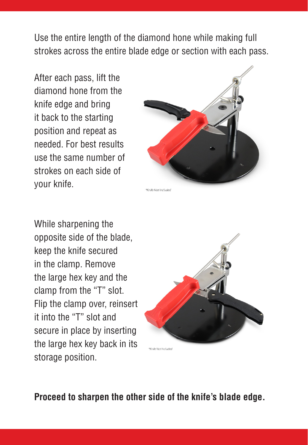Use the entire length of the diamond hone while making full strokes across the entire blade edge or section with each pass.

After each pass, lift the diamond hone from the knife edge and bring it back to the starting position and repeat as needed. For best results use the same number of strokes on each side of your knife.



While sharpening the opposite side of the blade, keep the knife secured in the clamp. Remove the large hex key and the clamp from the "T" slot. Flip the clamp over, reinsert it into the "T" slot and secure in place by inserting the large hex key back in its storage position.



**Proceed to sharpen the other side of the knife's blade edge.**